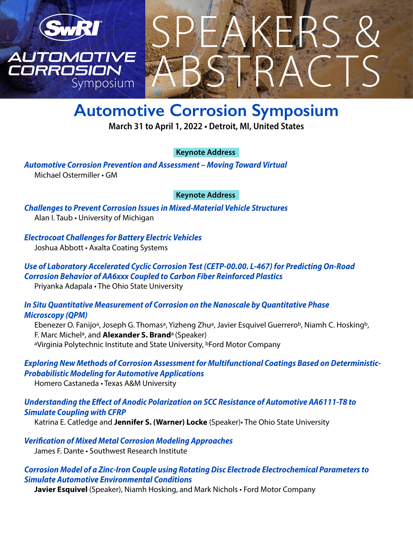

# ABSTRACTS SPEAKERS &

# **Automotive Corrosion Symposium**

**March 31 to April 1, 2022 • Detroit, MI, United States**

#### **Keynote Address**

*Automotive Corrosion Prevention and Assessment – Moving Toward Virtual* Michael Ostermiller • GM

#### **Keynote Address**

*Challenges to Prevent Corrosion Issues in Mixed-Material Vehicle Structures* Alan I. Taub • University of Michigan

*Electrocoat Challenges for Battery Electric Vehicles* Joshua Abbott • Axalta Coating Systems

#### *Use of Laboratory Accelerated Cyclic Corrosion Test (CETP-00.00. L-467) for Predicting On-Road Corrosion Behavior of AA6xxx Coupled to Carbon Fiber Reinforced Plastics* Priyanka Adapala • The Ohio State University

#### *In Situ Quantitative Measurement of Corrosion on the Nanoscale by Quantitative Phase Microscopy (QPM)*

Ebenezer O. Fanijo<sup>a</sup>, Joseph G. Thomas<sup>a</sup>, Yizheng Zhu<sup>a</sup>, Javier Esquivel Guerrero<sup>b</sup>, Niamh C. Hosking<sup>b</sup>, F. Marc Michela, and **Alexander S. Brand**a (Speaker) aVirginia Polytechnic Institute and State University, **bFord Motor Company** 

## *Exploring New Methods of Corrosion Assessment for Multifunctional Coatings Based on Deterministic-Probabilistic Modeling for Automotive Applications*

Homero Castaneda • Texas A&M University

## *Understanding the Effect of Anodic Polarization on SCC Resistance of Automotive AA6111-T8 to Simulate Coupling with CFRP*

Katrina E. Catledge and **Jennifer S. (Warner) Locke** (Speaker)• The Ohio State University

*Verification of Mixed Metal Corrosion Modeling Approaches* James F. Dante • Southwest Research Institute

## *Corrosion Model of a Zinc-Iron Couple using Rotating Disc Electrode Electrochemical Parameters to Simulate Automotive Environmental Conditions*

**Javier Esquivel** (Speaker), Niamh Hosking, and Mark Nichols • Ford Motor Company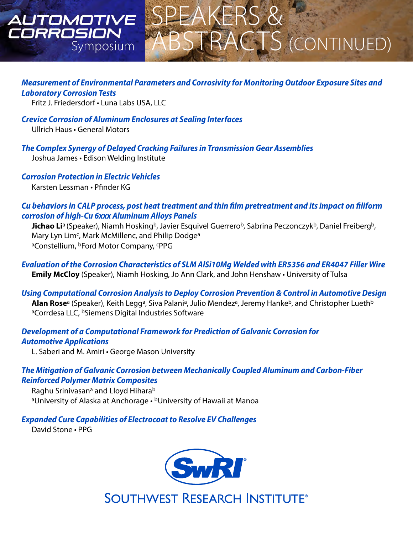## AUTOMOTIVE IRROSION Symposium



#### *Measurement of Environmental Parameters and Corrosivity for Monitoring Outdoor Exposure Sites and Laboratory Corrosion Tests*

Fritz J. Friedersdorf • Luna Labs USA, LLC

*Crevice Corrosion of Aluminum Enclosures at Sealing Interfaces* Ullrich Haus • General Motors

*The Complex Synergy of Delayed Cracking Failures in Transmission Gear Assemblies* Joshua James • Edison Welding Institute

*Corrosion Protection in Electric Vehicles* Karsten Lessman • Pfinder KG

#### *Cu behaviors in CALP process, post heat treatment and thin film pretreatment and its impact on filiform corrosion of high-Cu 6xxx Aluminum Alloys Panels*

**Jichao Li**<sup>a</sup> (Speaker), Niamh Hosking<sup>b</sup>, Javier Esquivel Guerrero<sup>b</sup>, Sabrina Peczonczyk<sup>b</sup>, Daniel Freiberg<sup>b</sup>, Mary Lyn Lim<sup>c</sup>, Mark McMillenc, and Philip Dodge<sup>a</sup> aConstellium, **bFord Motor Company**, **cPPG** 

*Evaluation of the Corrosion Characteristics of SLM AlSi10Mg Welded with ER5356 and ER4047 Filler Wire* **Emily McCloy** (Speaker), Niamh Hosking, Jo Ann Clark, and John Henshaw • University of Tulsa

## *Using Computational Corrosion Analysis to Deploy Corrosion Prevention & Control in Automotive Design*

**Alan Rose**<sup>a</sup> (Speaker), Keith Legg<sup>a</sup>, Siva Palani<sup>a</sup>, Julio Mendez<sup>a</sup>, Jeremy Hanke<sup>b</sup>, and Christopher Lueth<sup>b</sup> aCorrdesa LLC, <sup>b</sup>Siemens Digital Industries Software

#### *Development of a Computational Framework for Prediction of Galvanic Corrosion for Automotive Applications*

L. Saberi and M. Amiri • George Mason University

## *The Mitigation of Galvanic Corrosion between Mechanically Coupled Aluminum and Carbon-Fiber Reinforced Polymer Matrix Composites*

Raghu Srinivasan<sup>a</sup> and Lloyd Hihara<sup>b</sup> aUniversity of Alaska at Anchorage • bUniversity of Hawaii at Manoa

*Expanded Cure Capabilities of Electrocoat to Resolve EV Challenges*

David Stone • PPG



**SOUTHWEST RESEARCH INSTITUTE®**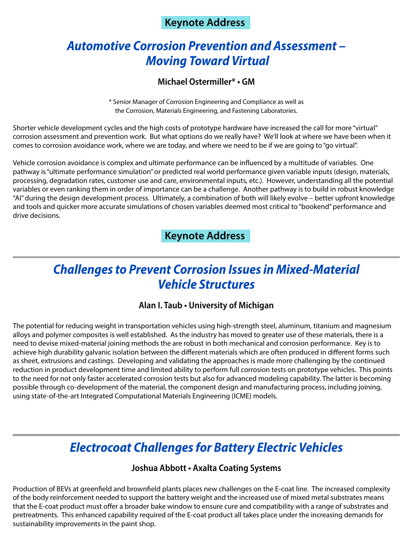## **Keynote Address**

## *Automotive Corrosion Prevention and Assessment – Moving Toward Virtual*

#### **Michael Ostermiller\* • GM**

\* Senior Manager of Corrosion Engineering and Compliance as well as the Corrosion, Materials Engineering, and Fastening Laboratories.

Shorter vehicle development cycles and the high costs of prototype hardware have increased the call for more "virtual" corrosion assessment and prevention work. But what options do we really have? We'll look at where we have been when it comes to corrosion avoidance work, where we are today, and where we need to be if we are going to "go virtual".

Vehicle corrosion avoidance is complex and ultimate performance can be influenced by a multitude of variables. One pathway is "ultimate performance simulation" or predicted real world performance given variable inputs (design, materials, processing, degradation rates, customer use and care, environmental inputs, etc.). However, understanding all the potential variables or even ranking them in order of importance can be a challenge. Another pathway is to build in robust knowledge "AI" during the design development process. Ultimately, a combination of both will likely evolve – better upfront knowledge and tools and quicker more accurate simulations of chosen variables deemed most critical to "bookend" performance and drive decisions.

## **Keynote Address**

## *Challenges to Prevent Corrosion Issues in Mixed-Material Vehicle Structures*

#### **Alan I. Taub • University of Michigan**

The potential for reducing weight in transportation vehicles using high-strength steel, aluminum, titanium and magnesium alloys and polymer composites is well established. As the industry has moved to greater use of these materials, there is a need to devise mixed-material joining methods the are robust in both mechanical and corrosion performance. Key is to achieve high durability galvanic isolation between the different materials which are often produced in different forms such as sheet, extrusions and castings. Developing and validating the approaches is made more challenging by the continued reduction in product development time and limited ability to perform full corrosion tests on prototype vehicles. This points to the need for not only faster accelerated corrosion tests but also for advanced modeling capability. The latter is becoming possible through co-development of the material, the component design and manufacturing process, including joining, using state-of-the-art Integrated Computational Materials Engineering (ICME) models.

## *Electrocoat Challenges for Battery Electric Vehicles*

#### **Joshua Abbott • Axalta Coating Systems**

Production of BEVs at greenfield and brownfield plants places new challenges on the E-coat line. The increased complexity of the body reinforcement needed to support the battery weight and the increased use of mixed metal substrates means that the E-coat product must offer a broader bake window to ensure cure and compatibility with a range of substrates and pretreatments. This enhanced capability required of the E-coat product all takes place under the increasing demands for sustainability improvements in the paint shop.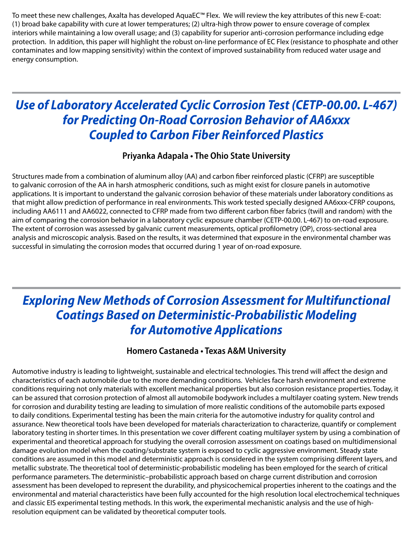To meet these new challenges, Axalta has developed AquaEC™ Flex. We will review the key attributes of this new E-coat: (1) broad bake capability with cure at lower temperatures; (2) ultra-high throw power to ensure coverage of complex interiors while maintaining a low overall usage; and (3) capability for superior anti-corrosion performance including edge protection. In addition, this paper will highlight the robust on-line performance of EC Flex (resistance to phosphate and other contaminates and low mapping sensitivity) within the context of improved sustainability from reduced water usage and energy consumption.

## *Use of Laboratory Accelerated Cyclic Corrosion Test (CETP-00.00. L-467) for Predicting On-Road Corrosion Behavior of AA6xxx Coupled to Carbon Fiber Reinforced Plastics*

#### **Priyanka Adapala • The Ohio State University**

Structures made from a combination of aluminum alloy (AA) and carbon fiber reinforced plastic (CFRP) are susceptible to galvanic corrosion of the AA in harsh atmospheric conditions, such as might exist for closure panels in automotive applications. It is important to understand the galvanic corrosion behavior of these materials under laboratory conditions as that might allow prediction of performance in real environments. This work tested specially designed AA6xxx-CFRP coupons, including AA6111 and AA6022, connected to CFRP made from two different carbon fiber fabrics (twill and random) with the aim of comparing the corrosion behavior in a laboratory cyclic exposure chamber (CETP-00.00. L-467) to on-road exposure. The extent of corrosion was assessed by galvanic current measurements, optical profilometry (OP), cross-sectional area analysis and microscopic analysis. Based on the results, it was determined that exposure in the environmental chamber was successful in simulating the corrosion modes that occurred during 1 year of on-road exposure.

## *Exploring New Methods of Corrosion Assessment for Multifunctional Coatings Based on Deterministic-Probabilistic Modeling for Automotive Applications*

## **Homero Castaneda • Texas A&M University**

Automotive industry is leading to lightweight, sustainable and electrical technologies. This trend will affect the design and characteristics of each automobile due to the more demanding conditions. Vehicles face harsh environment and extreme conditions requiring not only materials with excellent mechanical properties but also corrosion resistance properties. Today, it can be assured that corrosion protection of almost all automobile bodywork includes a multilayer coating system. New trends for corrosion and durability testing are leading to simulation of more realistic conditions of the automobile parts exposed to daily conditions. Experimental testing has been the main criteria for the automotive industry for quality control and assurance. New theoretical tools have been developed for materials characterization to characterize, quantify or complement laboratory testing in shorter times. In this presentation we cover different coating multilayer system by using a combination of experimental and theoretical approach for studying the overall corrosion assessment on coatings based on multidimensional damage evolution model when the coating/substrate system is exposed to cyclic aggressive environment. Steady state conditions are assumed in this model and deterministic approach is considered in the system comprising different layers, and metallic substrate. The theoretical tool of deterministic-probabilistic modeling has been employed for the search of critical performance parameters. The deterministic–probabilistic approach based on charge current distribution and corrosion assessment has been developed to represent the durability, and physicochemical properties inherent to the coatings and the environmental and material characteristics have been fully accounted for the high resolution local electrochemical techniques and classic EIS experimental testing methods. In this work, the experimental mechanistic analysis and the use of highresolution equipment can be validated by theoretical computer tools.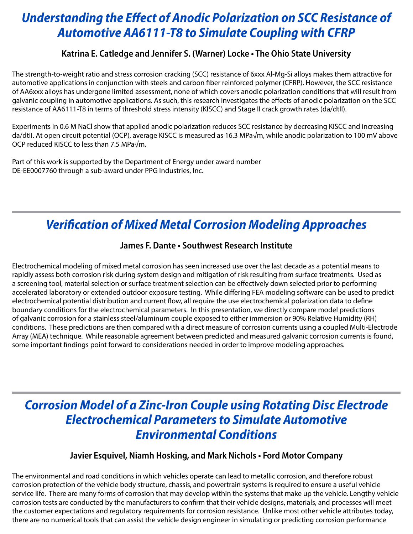## *Understanding the Effect of Anodic Polarization on SCC Resistance of Automotive AA6111-T8 to Simulate Coupling with CFRP*

## **Katrina E. Catledge and Jennifer S. (Warner) Locke • The Ohio State University**

The strength-to-weight ratio and stress corrosion cracking (SCC) resistance of 6xxx Al-Mg-Si alloys makes them attractive for automotive applications in conjunction with steels and carbon fiber reinforced polymer (CFRP). However, the SCC resistance of AA6xxx alloys has undergone limited assessment, none of which covers anodic polarization conditions that will result from galvanic coupling in automotive applications. As such, this research investigates the effects of anodic polarization on the SCC resistance of AA6111-T8 in terms of threshold stress intensity (KISCC) and Stage II crack growth rates (da/dtII).

Experiments in 0.6 M NaCl show that applied anodic polarization reduces SCC resistance by decreasing KISCC and increasing da/dtII. At open circuit potential (OCP), average KISCC is measured as 16.3 MPa√m, while anodic polarization to 100 mV above OCP reduced KISCC to less than 7.5 MPa√m.

Part of this work is supported by the Department of Energy under award number DE-EE0007760 through a sub-award under PPG Industries, Inc.

## *Verification of Mixed Metal Corrosion Modeling Approaches*

## **James F. Dante • Southwest Research Institute**

Electrochemical modeling of mixed metal corrosion has seen increased use over the last decade as a potential means to rapidly assess both corrosion risk during system design and mitigation of risk resulting from surface treatments. Used as a screening tool, material selection or surface treatment selection can be effectively down selected prior to performing accelerated laboratory or extended outdoor exposure testing. While differing FEA modeling software can be used to predict electrochemical potential distribution and current flow, all require the use electrochemical polarization data to define boundary conditions for the electrochemical parameters. In this presentation, we directly compare model predictions of galvanic corrosion for a stainless steel/aluminum couple exposed to either immersion or 90% Relative Humidity (RH) conditions. These predictions are then compared with a direct measure of corrosion currents using a coupled Multi-Electrode Array (MEA) technique. While reasonable agreement between predicted and measured galvanic corrosion currents is found, some important findings point forward to considerations needed in order to improve modeling approaches.

## *Corrosion Model of a Zinc-Iron Couple using Rotating Disc Electrode Electrochemical Parameters to Simulate Automotive Environmental Conditions*

#### **Javier Esquivel, Niamh Hosking, and Mark Nichols • Ford Motor Company**

The environmental and road conditions in which vehicles operate can lead to metallic corrosion, and therefore robust corrosion protection of the vehicle body structure, chassis, and powertrain systems is required to ensure a useful vehicle service life. There are many forms of corrosion that may develop within the systems that make up the vehicle. Lengthy vehicle corrosion tests are conducted by the manufacturers to confirm that their vehicle designs, materials, and processes will meet the customer expectations and regulatory requirements for corrosion resistance. Unlike most other vehicle attributes today, there are no numerical tools that can assist the vehicle design engineer in simulating or predicting corrosion performance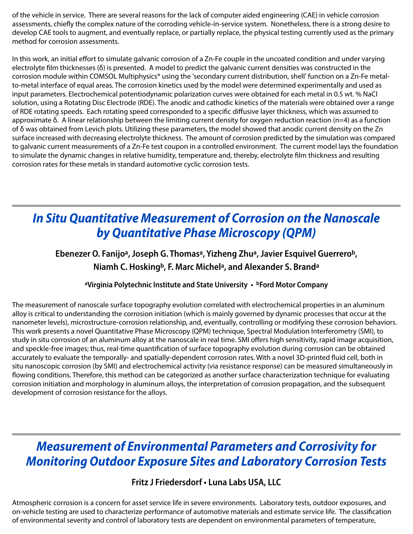of the vehicle in service. There are several reasons for the lack of computer aided engineering (CAE) in vehicle corrosion assessments, chiefly the complex nature of the corroding vehicle-in-service system. Nonetheless, there is a strong desire to develop CAE tools to augment, and eventually replace, or partially replace, the physical testing currently used as the primary method for corrosion assessments.

In this work, an initial effort to simulate galvanic corrosion of a Zn-Fe couple in the uncoated condition and under varying electrolyte film thicknesses (δ) is presented. A model to predict the galvanic current densities was constructed in the corrosion module within COMSOL Multiphysics® using the 'secondary current distribution, shell' function on a Zn-Fe metalto-metal interface of equal areas. The corrosion kinetics used by the model were determined experimentally and used as input parameters. Electrochemical potentiodynamic polarization curves were obtained for each metal in 0.5 wt. % NaCl solution, using a Rotating Disc Electrode (RDE). The anodic and cathodic kinetics of the materials were obtained over a range of RDE rotating speeds. Each rotating speed corresponded to a specific diffusive layer thickness, which was assumed to approximate δ. A linear relationship between the limiting current density for oxygen reduction reaction (n=4) as a function of δ was obtained from Levich plots. Utilizing these parameters, the model showed that anodic current density on the Zn surface increased with decreasing electrolyte thickness. The amount of corrosion predicted by the simulation was compared to galvanic current measurements of a Zn-Fe test coupon in a controlled environment. The current model lays the foundation to simulate the dynamic changes in relative humidity, temperature and, thereby, electrolyte film thickness and resulting corrosion rates for these metals in standard automotive cyclic corrosion tests.

# *In Situ Quantitative Measurement of Corrosion on the Nanoscale by Quantitative Phase Microscopy (QPM)*

## **Ebenezer O. Fanijoa, Joseph G. Thomasa, Yizheng Zhua, Javier Esquivel Guerrerob, Niamh C. Hoskingb, F. Marc Michela, and Alexander S. Branda**

#### **aVirginia Polytechnic Institute and State University • bFord Motor Company**

The measurement of nanoscale surface topography evolution correlated with electrochemical properties in an aluminum alloy is critical to understanding the corrosion initiation (which is mainly governed by dynamic processes that occur at the nanometer levels), microstructure-corrosion relationship, and, eventually, controlling or modifying these corrosion behaviors. This work presents a novel Quantitative Phase Microscopy (QPM) technique, Spectral Modulation Interferometry (SMI), to study in situ corrosion of an aluminum alloy at the nanoscale in real time. SMI offers high sensitivity, rapid image acquisition, and speckle-free images; thus, real-time quantification of surface topography evolution during corrosion can be obtained accurately to evaluate the temporally- and spatially-dependent corrosion rates. With a novel 3D-printed fluid cell, both in situ nanoscopic corrosion (by SMI) and electrochemical activity (via resistance response) can be measured simultaneously in flowing conditions. Therefore, this method can be categorized as another surface characterization technique for evaluating corrosion initiation and morphology in aluminum alloys, the interpretation of corrosion propagation, and the subsequent development of corrosion resistance for the alloys.

## *Measurement of Environmental Parameters and Corrosivity for Monitoring Outdoor Exposure Sites and Laboratory Corrosion Tests*

## **Fritz J Friedersdorf • Luna Labs USA, LLC**

Atmospheric corrosion is a concern for asset service life in severe environments. Laboratory tests, outdoor exposures, and on-vehicle testing are used to characterize performance of automotive materials and estimate service life. The classification of environmental severity and control of laboratory tests are dependent on environmental parameters of temperature,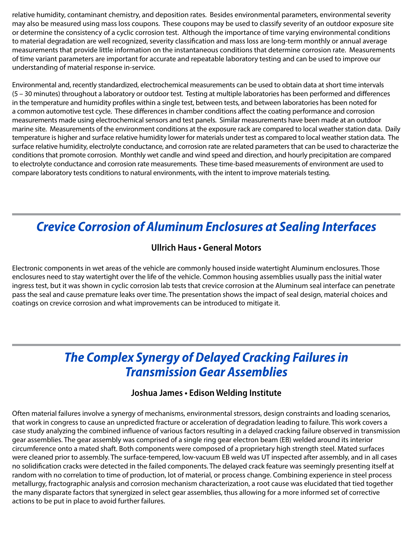relative humidity, contaminant chemistry, and deposition rates. Besides environmental parameters, environmental severity may also be measured using mass loss coupons. These coupons may be used to classify severity of an outdoor exposure site or determine the consistency of a cyclic corrosion test. Although the importance of time varying environmental conditions to material degradation are well recognized, severity classification and mass loss are long-term monthly or annual average measurements that provide little information on the instantaneous conditions that determine corrosion rate. Measurements of time variant parameters are important for accurate and repeatable laboratory testing and can be used to improve our understanding of material response in-service.

Environmental and, recently standardized, electrochemical measurements can be used to obtain data at short time intervals (5 – 30 minutes) throughout a laboratory or outdoor test. Testing at multiple laboratories has been performed and differences in the temperature and humidity profiles within a single test, between tests, and between laboratories has been noted for a common automotive test cycle. These differences in chamber conditions affect the coating performance and corrosion measurements made using electrochemical sensors and test panels. Similar measurements have been made at an outdoor marine site. Measurements of the environment conditions at the exposure rack are compared to local weather station data. Daily temperature is higher and surface relative humidity lower for materials under test as compared to local weather station data. The surface relative humidity, electrolyte conductance, and corrosion rate are related parameters that can be used to characterize the conditions that promote corrosion. Monthly wet candle and wind speed and direction, and hourly precipitation are compared to electrolyte conductance and corrosion rate measurements. These time-based measurements of environment are used to compare laboratory tests conditions to natural environments, with the intent to improve materials testing.

## *Crevice Corrosion of Aluminum Enclosures at Sealing Interfaces*

## **Ullrich Haus • General Motors**

Electronic components in wet areas of the vehicle are commonly housed inside watertight Aluminum enclosures. Those enclosures need to stay watertight over the life of the vehicle. Common housing assemblies usually pass the initial water ingress test, but it was shown in cyclic corrosion lab tests that crevice corrosion at the Aluminum seal interface can penetrate pass the seal and cause premature leaks over time. The presentation shows the impact of seal design, material choices and coatings on crevice corrosion and what improvements can be introduced to mitigate it.

## *The Complex Synergy of Delayed Cracking Failures in Transmission Gear Assemblies*

#### **Joshua James • Edison Welding Institute**

Often material failures involve a synergy of mechanisms, environmental stressors, design constraints and loading scenarios, that work in congress to cause an unpredicted fracture or acceleration of degradation leading to failure. This work covers a case study analyzing the combined influence of various factors resulting in a delayed cracking failure observed in transmission gear assemblies. The gear assembly was comprised of a single ring gear electron beam (EB) welded around its interior circumference onto a mated shaft. Both components were composed of a proprietary high strength steel. Mated surfaces were cleaned prior to assembly. The surface-tempered, low-vacuum EB weld was UT inspected after assembly, and in all cases no solidification cracks were detected in the failed components. The delayed crack feature was seemingly presenting itself at random with no correlation to time of production, lot of material, or process change. Combining experience in steel process metallurgy, fractographic analysis and corrosion mechanism characterization, a root cause was elucidated that tied together the many disparate factors that synergized in select gear assemblies, thus allowing for a more informed set of corrective actions to be put in place to avoid further failures.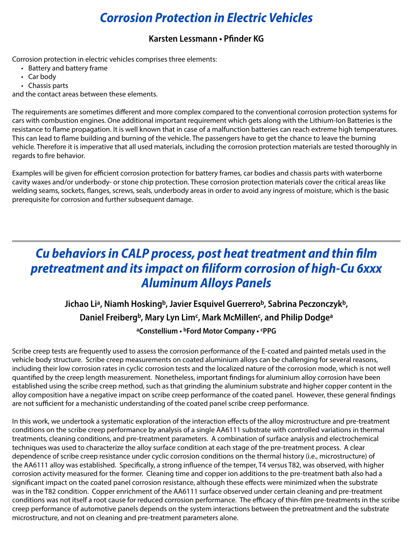# *Corrosion Protection in Electric Vehicles*

#### **Karsten Lessmann • Pfinder KG**

Corrosion protection in electric vehicles comprises three elements:

- Battery and battery frame
- Car body
- Chassis parts

and the contact areas between these elements.

The requirements are sometimes different and more complex compared to the conventional corrosion protection systems for cars with combustion engines. One additional important requirement which gets along with the Lithium-Ion Batteries is the resistance to flame propagation. It is well known that in case of a malfunction batteries can reach extreme high temperatures. This can lead to flame building and burning of the vehicle. The passengers have to get the chance to leave the burning vehicle. Therefore it is imperative that all used materials, including the corrosion protection materials are tested thoroughly in regards to fire behavior.

Examples will be given for efficient corrosion protection for battery frames, car bodies and chassis parts with waterborne cavity waxes and/or underbody- or stone chip protection. These corrosion protection materials cover the critical areas like welding seams, sockets, flanges, screws, seals, underbody areas in order to avoid any ingress of moisture, which is the basic prerequisite for corrosion and further subsequent damage.

## *Cu behaviors in CALP process, post heat treatment and thin film pretreatment and its impact on filiform corrosion of high-Cu 6xxx Aluminum Alloys Panels*

## Jichao Li<sup>a</sup>, Niamh Hosking<sup>b</sup>, Javier Esquivel Guerrero<sup>b</sup>, Sabrina Peczonczyk<sup>b</sup>, **Daniel Freibergb, Mary Lyn Limc, Mark McMillenc, and Philip Dodgea aConstellium • bFord Motor Company • cPPG**

## Scribe creep tests are frequently used to assess the corrosion performance of the E-coated and painted metals used in the vehicle body structure. Scribe creep measurements on coated aluminium alloys can be challenging for several reasons, including their low corrosion rates in cyclic corrosion tests and the localized nature of the corrosion mode, which is not well quantified by the creep length measurement. Nonetheless, important findings for aluminium alloy corrosion have been established using the scribe creep method, such as that grinding the aluminium substrate and higher copper content in the

alloy composition have a negative impact on scribe creep performance of the coated panel. However, these general findings are not sufficient for a mechanistic understanding of the coated panel scribe creep performance.

In this work, we undertook a systematic exploration of the interaction effects of the alloy microstructure and pre-treatment conditions on the scribe creep performance by analysis of a single AA6111 substrate with controlled variations in thermal treatments, cleaning conditions, and pre-treatment parameters. A combination of surface analysis and electrochemical techniques was used to characterize the alloy surface condition at each stage of the pre-treatment process. A clear dependence of scribe creep resistance under cyclic corrosion conditions on the thermal history (i.e., microstructure) of the AA6111 alloy was established. Specifically, a strong influence of the temper, T4 versus T82, was observed, with higher corrosion activity measured for the former. Cleaning time and copper ion additions to the pre-treatment bath also had a significant impact on the coated panel corrosion resistance, although these effects were minimized when the substrate was in the T82 condition. Copper enrichment of the AA6111 surface observed under certain cleaning and pre-treatment conditions was not itself a root cause for reduced corrosion performance. The efficacy of thin-film pre-treatments in the scribe creep performance of automotive panels depends on the system interactions between the pretreatment and the substrate microstructure, and not on cleaning and pre-treatment parameters alone.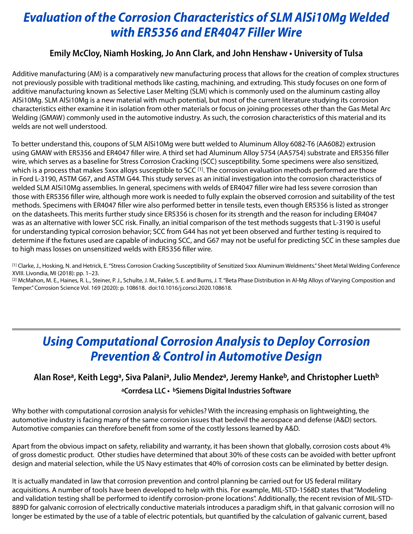# *Evaluation of the Corrosion Characteristics of SLM AlSi10Mg Welded with ER5356 and ER4047 Filler Wire*

## **Emily McCloy, Niamh Hosking, Jo Ann Clark, and John Henshaw • University of Tulsa**

Additive manufacturing (AM) is a comparatively new manufacturing process that allows for the creation of complex structures not previously possible with traditional methods like casting, machining, and extruding. This study focuses on one form of additive manufacturing known as Selective Laser Melting (SLM) which is commonly used on the aluminum casting alloy AlSi10Mg. SLM AlSi10Mg is a new material with much potential, but most of the current literature studying its corrosion characteristics either examine it in isolation from other materials or focus on joining processes other than the Gas Metal Arc Welding (GMAW) commonly used in the automotive industry. As such, the corrosion characteristics of this material and its welds are not well understood.

To better understand this, coupons of SLM AlSi10Mg were butt welded to Aluminum Alloy 6082-T6 (AA6082) extrusion using GMAW with ER5356 and ER4047 filler wire. A third set had Aluminum Alloy 5754 (AA5754) substrate and ER5356 filler wire, which serves as a baseline for Stress Corrosion Cracking (SCC) susceptibility. Some specimens were also sensitized, which is a process that makes 5xxx alloys susceptible to SCC [1]. The corrosion evaluation methods performed are those in Ford L-3190, ASTM G67, and ASTM G44. This study serves as an initial investigation into the corrosion characteristics of welded SLM AlSi10Mg assemblies. In general, specimens with welds of ER4047 filler wire had less severe corrosion than those with ER5356 filler wire, although more work is needed to fully explain the observed corrosion and suitability of the test methods. Specimens with ER4047 filler wire also performed better in tensile tests, even though ER5356 is listed as stronger on the datasheets. This merits further study since ER5356 is chosen for its strength and the reason for including ER4047 was as an alternative with lower SCC risk. Finally, an initial comparison of the test methods suggests that L-3190 is useful for understanding typical corrosion behavior; SCC from G44 has not yet been observed and further testing is required to determine if the fixtures used are capable of inducing SCC, and G67 may not be useful for predicting SCC in these samples due to high mass losses on unsensitized welds with ER5356 filler wire.

[1] Clarke, J., Hosking, N. and Hetrick, E. "Stress Corrosion Cracking Susceptibility of Sensitized 5xxx Aluminum Weldments." Sheet Metal Welding Conference XVIII. Livondia, MI (2018): pp. 1–23.

[2] McMahon, M. E., Haines, R. L., Steiner, P. J., Schulte, J. M., Fakler, S. E. and Burns, J. T. "Beta Phase Distribution in Al-Mg Alloys of Varying Composition and Temper." Corrosion Science Vol. 169 (2020): p. 108618. doi:10.1016/j.corsci.2020.108618.

## *Using Computational Corrosion Analysis to Deploy Corrosion Prevention & Control in Automotive Design*

## Alan Rose<sup>a</sup>, Keith Legg<sup>a</sup>, Siva Palani<sup>a</sup>, Julio Mendez<sup>a</sup>, Jeremy Hanke<sup>b</sup>, and Christopher Lueth<sup>b</sup> **aCorrdesa LLC • bSiemens Digital Industries Software**

Why bother with computational corrosion analysis for vehicles? With the increasing emphasis on lightweighting, the automotive industry is facing many of the same corrosion issues that bedevil the aerospace and defense (A&D) sectors. Automotive companies can therefore benefit from some of the costly lessons learned by A&D.

Apart from the obvious impact on safety, reliability and warranty, it has been shown that globally, corrosion costs about 4% of gross domestic product. Other studies have determined that about 30% of these costs can be avoided with better upfront design and material selection, while the US Navy estimates that 40% of corrosion costs can be eliminated by better design.

It is actually mandated in law that corrosion prevention and control planning be carried out for US federal military acquisitions. A number of tools have been developed to help with this. For example, MIL-STD-1568D states that "Modeling and validation testing shall be performed to identify corrosion-prone locations". Additionally, the recent revision of MIL-STD-889D for galvanic corrosion of electrically conductive materials introduces a paradigm shift, in that galvanic corrosion will no longer be estimated by the use of a table of electric potentials, but quantified by the calculation of galvanic current, based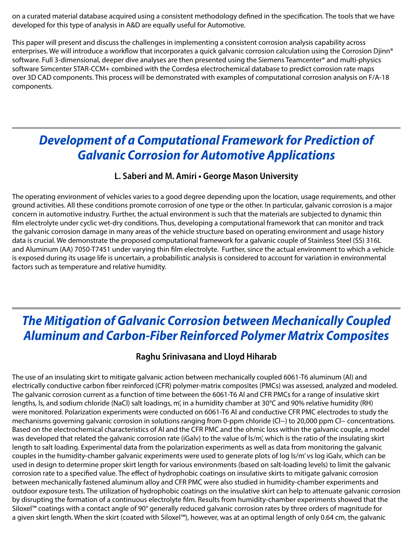on a curated material database acquired using a consistent methodology defined in the specification. The tools that we have developed for this type of analysis in A&D are equally useful for Automotive.

This paper will present and discuss the challenges in implementing a consistent corrosion analysis capability across enterprises. We will introduce a workflow that incorporates a quick galvanic corrosion calculation using the Corrosion Djinn® software. Full 3-dimensional, deeper dive analyses are then presented using the Siemens Teamcenter® and multi-physics software Simcenter STAR-CCM+ combined with the Corrdesa electrochemical database to predict corrosion rate maps over 3D CAD components. This process will be demonstrated with examples of computational corrosion analysis on F/A-18 components.

## *Development of a Computational Framework for Prediction of Galvanic Corrosion for Automotive Applications*

#### **L. Saberi and M. Amiri • George Mason University**

The operating environment of vehicles varies to a good degree depending upon the location, usage requirements, and other ground activities. All these conditions promote corrosion of one type or the other. In particular, galvanic corrosion is a major concern in automotive industry. Further, the actual environment is such that the materials are subjected to dynamic thin film electrolyte under cyclic wet-dry conditions. Thus, developing a computational framework that can monitor and track the galvanic corrosion damage in many areas of the vehicle structure based on operating environment and usage history data is crucial. We demonstrate the proposed computational framework for a galvanic couple of Stainless Steel (SS) 316L and Aluminum (AA) 7050-T7451 under varying thin film electrolyte. Further, since the actual environment to which a vehicle is exposed during its usage life is uncertain, a probabilistic analysis is considered to account for variation in environmental factors such as temperature and relative humidity.

## *The Mitigation of Galvanic Corrosion between Mechanically Coupled Aluminum and Carbon-Fiber Reinforced Polymer Matrix Composites*

## **Raghu Srinivasana and Lloyd Hiharab**

The use of an insulating skirt to mitigate galvanic action between mechanically coupled 6061-T6 aluminum (Al) and electrically conductive carbon fiber reinforced (CFR) polymer-matrix composites (PMCs) was assessed, analyzed and modeled. The galvanic corrosion current as a function of time between the 6061-T6 Al and CFR PMCs for a range of insulative skirt lengths, ls, and sodium chloride (NaCl) salt loadings, m', in a humidity chamber at 30°C and 90% relative humidity (RH) were monitored. Polarization experiments were conducted on 6061-T6 Al and conductive CFR PMC electrodes to study the mechanisms governing galvanic corrosion in solutions ranging from 0-ppm chloride (Cl−) to 20,000 ppm Cl− concentrations. Based on the electrochemical characteristics of Al and the CFR PMC and the ohmic loss within the galvanic couple, a model was developed that related the galvanic corrosion rate (iGalv) to the value of ls/m', which is the ratio of the insulating skirt length to salt loading. Experimental data from the polarization experiments as well as data from monitoring the galvanic couples in the humidity-chamber galvanic experiments were used to generate plots of log ls/m' vs log iGalv, which can be used in design to determine proper skirt length for various environments (based on salt-loading levels) to limit the galvanic corrosion rate to a specified value. The effect of hydrophobic coatings on insulative skirts to mitigate galvanic corrosion between mechanically fastened aluminum alloy and CFR PMC were also studied in humidity-chamber experiments and outdoor exposure tests. The utilization of hydrophobic coatings on the insulative skirt can help to attenuate galvanic corrosion by disrupting the formation of a continuous electrolyte film. Results from humidity-chamber experiments showed that the Siloxel™ coatings with a contact angle of 90° generally reduced galvanic corrosion rates by three orders of magnitude for a given skirt length. When the skirt (coated with Siloxel™), however, was at an optimal length of only 0.64 cm, the galvanic